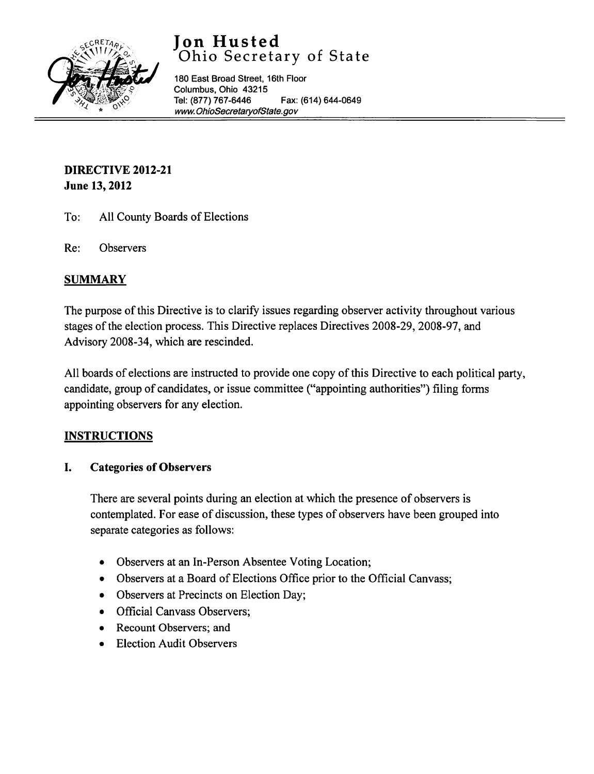

# **Jon Husted**  Ohio Secretary of State

180 East Broad Street, 16th Floor Columbus, Ohio 43215 Tel: (877) 767-6446 Fax: (614) 644-0649 [www. OhioSecretaryofState.gov](http://www.OhioSecretaryofState.gov)

## DIRECTIVE 2012-21 June 13, 2012

- To: All County Boards of Elections
- Re: Observers

## **SUMMARY**

The purpose of this Directive is to clarify issues regarding observer activity throughout various stages of the election process. This Directive replaces Directives 2008-29, 2008-97, and Advisory 2008-34, which are rescinded.

All boards of elections are instructed to provide one copy of this Directive to each political party, candidate, group of candidates, or issue committee ("appointing authorities") filing forms appointing observers for any election.

## **INSTRUCTIONS**

## I. Categories of Observers

There are several points during an election at which the presence of observers is contemplated. For ease of discussion, these types of observers have been grouped into separate categories as follows:

- Observers at an In-Person Absentee Voting Location;
- Observers at a Board of Elections Office prior to the Official Canvass;
- Observers at Precincts on Election Day;
- Official Canvass Observers;
- Recount Observers; and
- Election Audit Observers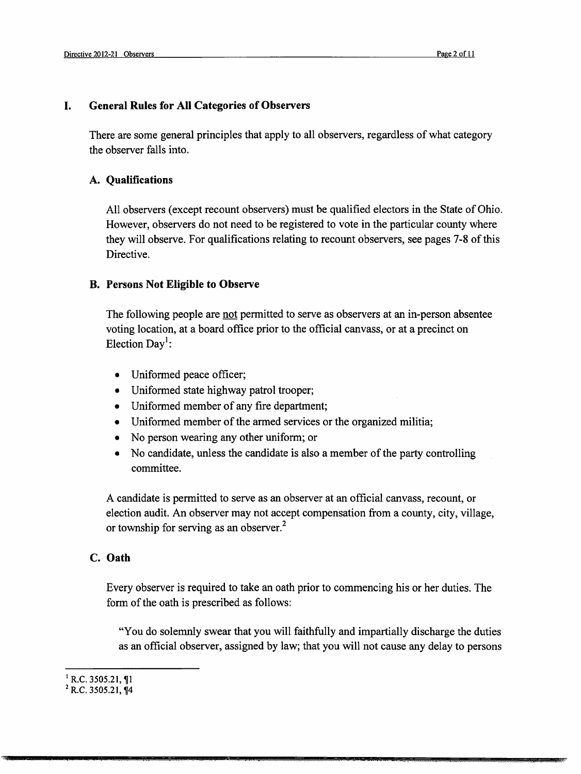#### I. General Rules for All Categories of Observers

There are some general principles that apply to all observers, regardless of what category the observer falls into.

#### A. Qualifications

All observers (except recount observers) must be qualified electors in the State of Ohio. However, observers do not need to be registered to vote in the particular county where they will observe. For qualifications relating to recount observers, see pages 7-8 of this Directive.

#### B. Persons Not Eligible to Observe

The following people are not permitted to serve as observers at an in-person absentee voting location, at a board office prior to the official canvass, or at a precinct on Election Day<sup>1</sup>:

- Uniformed peace officer;
- Uniformed state highway patrol trooper;
- Uniformed member of any fire department;
- Uniformed member of the armed services or the organized militia;
- No person wearing any other uniform; or
- No candidate, unless the candidate is also a member of the party controlling committee.

A candidate is permitted to serve as an observer at an official canvass, recount, or election audit. An observer may not accept compensation from a county, city, village, or township for serving as an observer.<sup>2</sup>

### c. Oath

Every observer is required to take an oath prior to commencing his or her duties. The form of the oath is prescribed as follows:

"You do solemnly swear that you will faithfully and impartially discharge the duties as an official observer, assigned by law; that you will not cause any delay to persons

OJ U .&\$ \$ & &&4 A IV·

 $^1$  R.C. 3505.21, ¶1

<sup>&</sup>lt;sup>2</sup> R.C. 3505.21, ¶4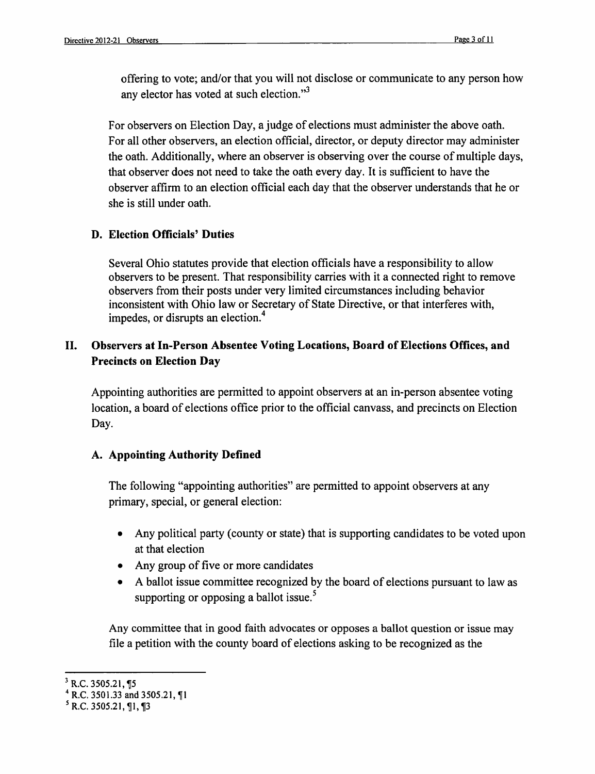offering to vote; and/or that you will not disclose or communicate to any person how any elector has voted at such election."<sup>3</sup>

For observers on Election Day, a judge of elections must administer the above oath. For all other observers, an election official, director, or deputy director may administer the oath. Additionally, where an observer is observing over the course of multiple days, that observer does not need to take the oath every day. It is sufficient to have the observer affirm to an election official each day that the observer understands that he or she is still under oath.

### D. Election Officials' Duties

Several Ohio statutes provide that election officials have a responsibility to allow observers to be present. That responsibility carries with it a connected right to remove observers from their posts under very limited circumstances including behavior inconsistent with Ohio law or Secretary of State Directive, or that interferes with, impedes, or disrupts an election.<sup>4</sup>

## II. Observers at In-Person Absentee Voting Locations, Board of Elections Offices, and Precincts on Election Day

Appointing authorities are permitted to appoint observers at an in-person absentee voting location, a board of elections office prior to the official canvass, and precincts on Election Day.

## A. Appointing Authority Defined

The following "appointing authorities" are permitted to appoint observers at any primary, special, or general election:

- Any political party (county or state) that is supporting candidates to be voted upon at that election
- Any group of five or more candidates
- A ballot issue committee recognized by the board of elections pursuant to law as supporting or opposing a ballot issue.<sup>5</sup>

Any committee that in good faith advocates or opposes a ballot question or issue may file a petition with the county board of elections asking to be recognized as the

 $3$  R.C. 3505.21, ¶5

 $4$  R.C. 3501.33 and 3505.21,  $\P$ 1

 $<sup>5</sup>$  R.C. 3505.21, ¶1, ¶3</sup>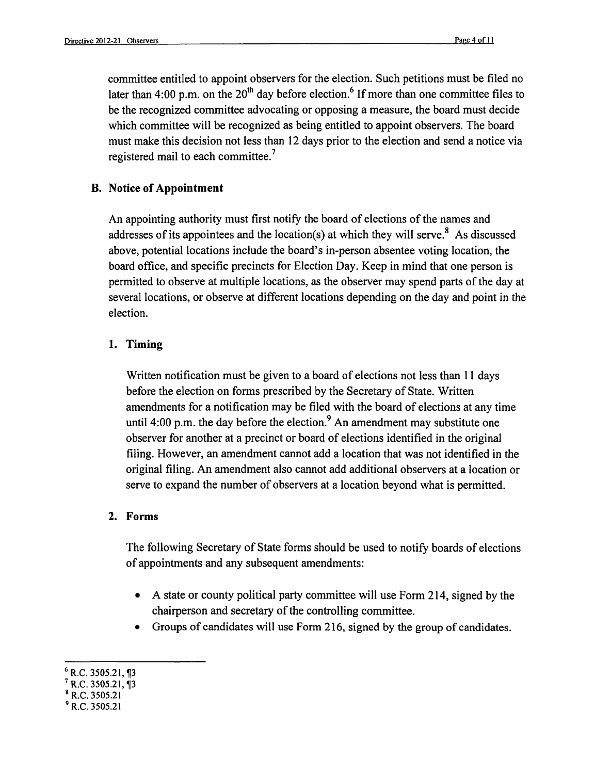committee entitled to appoint observers for the election. Such petitions must be filed no later than 4:00 p.m. on the  $20<sup>th</sup>$  day before election.<sup>6</sup> If more than one committee files to be the recognized committee advocating or opposing a measure, the board must decide which committee will be recognized as being entitled to appoint observers. The board must make this decision not less than 12 days prior to the election and send a notice via registered mail to each committee.<sup>7</sup>

## B. Notice of Appointment

An appointing authority must first notify the board of elections of the names and addresses of its appointees and the location(s) at which they will serve.<sup>8</sup> As discussed above, potential locations include the board's in-person absentee voting location, the board office, and specific precincts for Election Day. Keep in mind that one person is permitted to observe at multiple locations, as the observer may spend parts of the day at several locations, or observe at different locations depending on the day and point in the election.

## 1. Timing

Written notification must be given to a board of elections not less than 11 days before the election on forms prescribed by the Secretary of State. Written amendments for a notification may be filed with the board of elections at any time until 4:00 p.m. the day before the election.<sup>9</sup> An amendment may substitute one observer for another at a precinct or board of elections identified in the original filing. However, an amendment cannot add a location that was not identified in the original filing. An amendment also cannot add additional observers at a location or serve to expand the number of observers at a location beyond what is permitted.

## 2. Forms

The following Secretary of State forms should be used to notify boards of elections of appointments and any subsequent amendments:

- A state or county political party committee will use Form 214, signed by the chairperson and secretary of the controlling committee.
- Groups of candidates will use Form 216, signed by the group of candidates.

- R.C. 3505.21, 13
- & R.C. 3505.21

 $<sup>6</sup>$  R.C. 3505.21, ¶3</sup>

 $^{9}$  R.C. 3505.21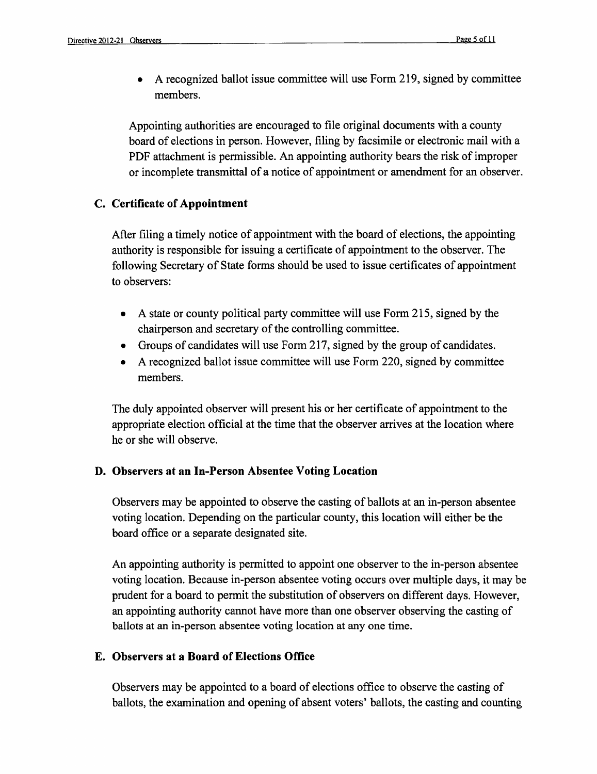• A recognized ballot issue committee will use Form 219, signed by committee members.

Appointing authorities are encouraged to file original documents with a county board of elections in person. However, filing by facsimile or electronic mail with a PDF attachment is permissible. An appointing authority bears the risk of improper or incomplete transmittal of a notice of appointment or amendment for an observer.

#### C. Certificate of Appointment

After filing a timely notice of appointment with the board of elections, the appointing authority is responsible for issuing a certificate of appointment to the observer. The following Secretary of State forms should be used to issue certificates of appointment to observers:

- A state or county political party committee will use Form 215, signed by the chairperson and secretary of the controlling committee.
- Groups of candidates will use Form 217, signed by the group of candidates.
- A recognized ballot issue committee will use Form 220, signed by committee members.

The duly appointed observer will present his or her certificate of appointment to the appropriate election official at the time that the observer arrives at the location where he or she will observe.

#### D. Observers at an In-Person Absentee Voting Location

Observers may be appointed to observe the casting of ballots at an in-person absentee voting location. Depending on the particular county, this location will either be the board office or a separate designated site.

An appointing authority is permitted to appoint one observer to the in-person absentee voting location. Because in-person absentee voting occurs over multiple days, it may be prudent for a board to permit the substitution of observers on different days. However, an appointing authority cannot have more than one observer observing the casting of ballots at an in-person absentee voting location at anyone time.

#### E. Observers at a Board of Elections Office

Observers may be appointed to a board of elections office to observe the casting of ballots, the examination and opening of absent voters' ballots, the casting and counting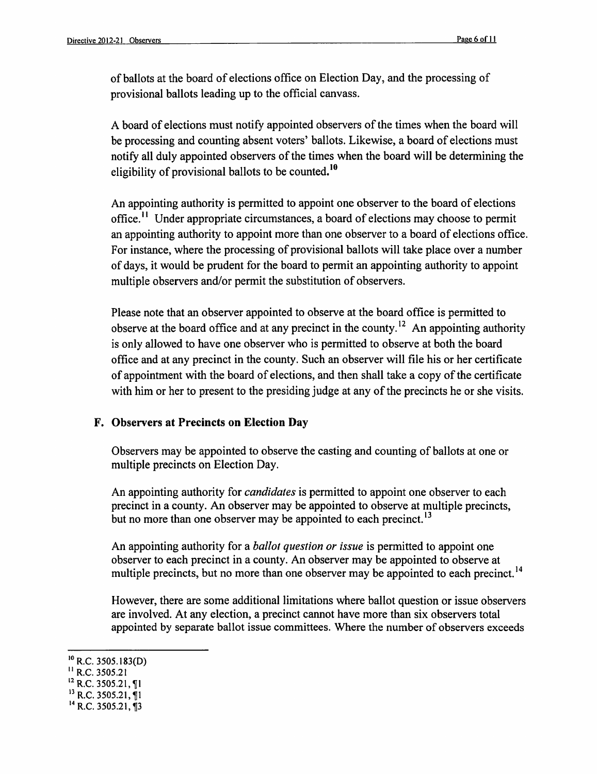of ballots at the board of elections office on Election Day, and the processing of provisional ballots leading up to the official canvass.

A board of elections must notify appointed observers of the times when the board will be processing and counting absent voters' ballots. Likewise, a board of elections must notify all duly appointed observers of the times when the board will be determining the eligibility of provisional ballots to be counted.<sup>10</sup>

An appointing authority is permitted to appoint one observer to the board of elections office. II Under appropriate circumstances, a board of elections may choose to permit an appointing authority to appoint more than one observer to a board of elections office. For instance, where the processing of provisional ballots will take place over a number of days, it would be prudent for the board to permit an appointing authority to appoint multiple observers and/or permit the substitution of observers.

Please note that an observer appointed to observe at the board office is permitted to observe at the board office and at any precinct in the county.<sup>12</sup> An appointing authority is only allowed to have one observer who is permitted to observe at both the board office and at any precinct in the county. Such an observer will file his or her certificate of appointment with the board of elections, and then shall take a copy of the certificate with him or her to present to the presiding judge at any of the precincts he or she visits.

#### F. Observers at Precincts on Election Day

Observers may be appointed to observe the casting and counting of ballots at one or multiple precincts on Election Day.

An appointing authority for *candidates* is permitted to appoint one observer to each precinct in a county. An observer may be appointed to observe at multiple precincts, but no more than one observer may be appointed to each precinct.<sup>13</sup>

An appointing authority for a *ballot question or issue* is permitted to appoint one observer to each precinct in a county. An observer may be appointed to observe at multiple precincts, but no more than one observer may be appointed to each precinct.<sup>14</sup>

However, there are some additional limitations where ballot question or issue observers are involved. At any election, a precinct cannot have more than six observers total appointed by separate ballot issue committees. Where the number of observers exceeds

- $H$  R.C. 3505.21
- $12$  R.C. 3505.21, 1
- $^{13}$  R.C. 3505.21, 1

 $^{10}$  R.C. 3505.183(D)

 $^{14}$  R.C. 3505.21, 13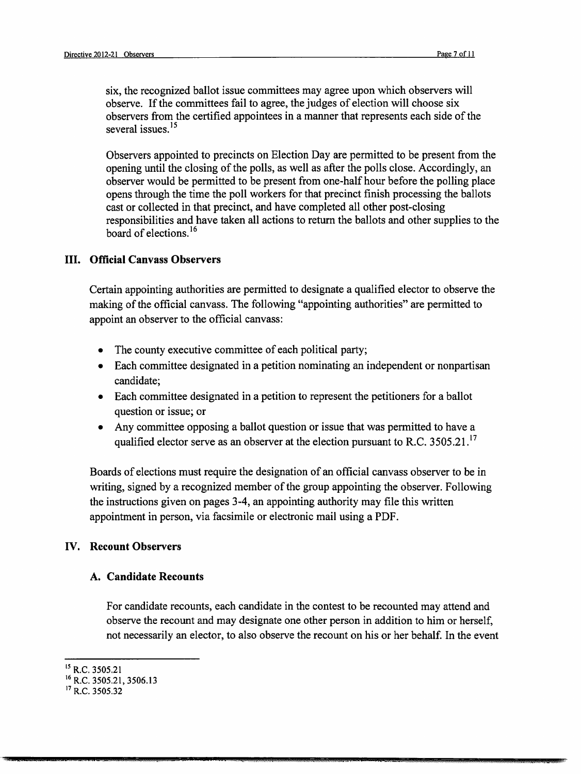six, the recognized ballot issue committees may agree upon which observers will observe. If the committees fail to agree, the judges of election will choose six observers from the certified appointees in a manner that represents each side of the several issues.<sup>15</sup>

Observers appointed to precincts on Election Day are permitted to be present from the opening until the closing of the polls, as well as after the polls close. Accordingly, an observer would be permitted to be present from one-half hour before the polling place opens through the time the poll workers for that precinct finish processing the ballots cast or collected in that precinct, and have completed all other post-closing responsibilities and have taken all actions to return the ballots and other supplies to the board of elections. 16

#### III. Official Canvass Observers

Certain appointing authorities are permitted to designate a qualified elector to observe the making of the official canvass. The following "appointing authorities" are permitted to appoint an observer to the official canvass:

- The county executive committee of each political party;
- Each committee designated in a petition nominating an independent or nonpartisan candidate;
- Each committee designated in a petition to represent the petitioners for a ballot question or issue; or
- Any committee opposing a ballot question or issue that was permitted to have a qualified elector serve as an observer at the election pursuant to R.C. 3505.21.<sup>17</sup>

Boards of elections must require the designation of an official canvass observer to be in writing, signed by a recognized member of the group appointing the observer. Following the instructions given on pages 3-4, an appointing authority may file this written appointment in person, via facsimile or electronic mail using a PDF.

#### IV. Recount Observers

#### A. Candidate Recounts

For candidate recounts, each candidate in the contest to be recounted may attend and observe the recount and may designate one other person in addition to him or herself, not necessarily an elector, to also observe the recount on his or her behalf. In the event

at t 42 Lmk. 2002 - 1 Lmk. 2002 - 1 Lmk. 2002 - 1 Lmk. 2002 - 1 Lmk. 2002 - 1 Lmk. 2002 - 1 Lmk. 2002 - 1 Lmk.

. With  $\alpha$ 

<sup>&</sup>lt;sup>15</sup> R.C. 3505.21

<sup>16</sup> R.C. 3505.21, 3506.13

<sup>&</sup>lt;sup>17</sup> R.C. 3505.32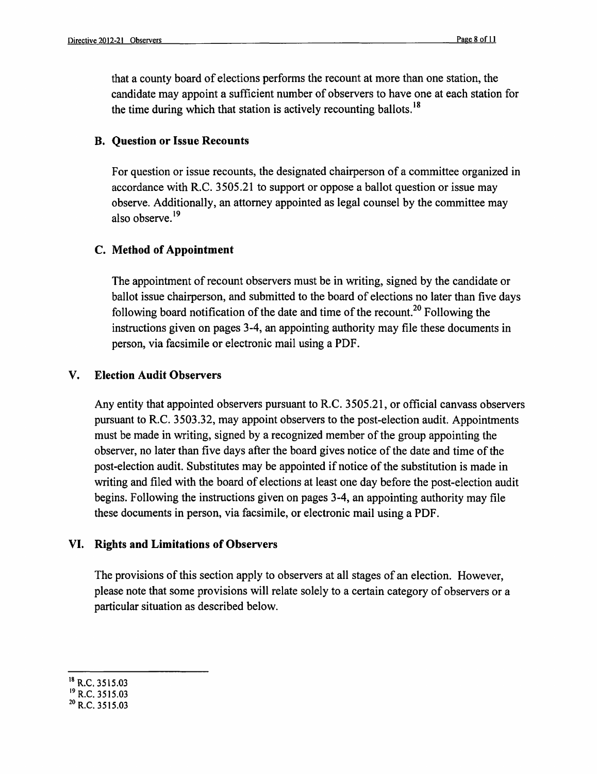that a county board of elections performs the recount at more than one station, the candidate may appoint a sufficient number of observers to have one at each station for the time during which that station is actively recounting ballots.<sup>18</sup>

#### B. Question or Issue Recounts

For question or issue recounts, the designated chairperson of a committee organized in accordance with R.C. 3505.21 to support or oppose a ballot question or issue may observe. Additionally, an attorney appointed as legal counsel by the committee may also observe.<sup>19</sup>

#### C. Method of Appointment

The appointment of recount observers must be in writing, signed by the candidate or ballot issue chairperson, and submitted to the board of elections no later than five days following board notification of the date and time of the recount.<sup>20</sup> Following the instructions given on pages 3-4, an appointing authority may file these documents in person, via facsimile or electronic mail using a PDF.

#### V. Election Audit Observers

Any entity that appointed observers pursuant to R.C. 3505.21, or official canvass observers pursuant to R.C. 3503.32, may appoint observers to the post-election audit. Appointments must be made in writing, signed by a recognized member of the group appointing the observer, no later than five days after the board gives notice of the date and time of the post-election audit. Substitutes may be appointed if notice of the substitution is made in writing and filed with the board of elections at least one day before the post-election audit begins. Following the instructions given on pages 3-4, an appointing authority may file these documents in person, via facsimile, or electronic mail using a PDF.

#### VI. Rights and Limitations of Observers

The provisions of this section apply to observers at all stages of an election. However, please note that some provisions will relate solely to a certain category of observers or a particular situation as described below.

<sup>&</sup>lt;sup>18</sup> R.C. 3515.03

<sup>19</sup> R.C. 3515.03

<sup>20</sup> R.C. 3515.03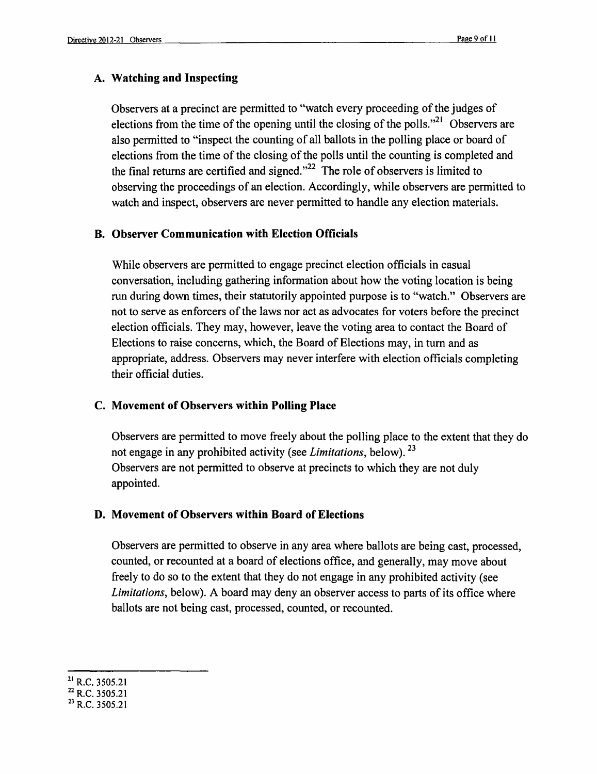## **A. Watching and Inspecting**

Observers at a precinct are permitted to "watch every proceeding of the judges of elections from the time of the opening until the closing of the polls.<sup> $21$ </sup> Observers are also permitted to "inspect the counting of all ballots in the polling place or board of elections from the time of the closing of the polls until the counting is completed and the final returns are certified and signed. $n^{22}$  The role of observers is limited to observing the proceedings of an election. Accordingly, while observers are permitted to watch and inspect, observers are never permitted to handle any election materials.

## **B. Observer Communication with Election Officials**

While observers are permitted to engage precinct election officials in casual conversation, including gathering information about how the voting location is being run during down times, their statutorily appointed purpose is to "watch." Observers are not to serve as enforcers of the laws nor act as advocates for voters before the precinct election officials. They may, however, leave the voting area to contact the Board of Elections to raise concerns, which, the Board of Elections may, in turn and as appropriate, address. Observers may never interfere with election officials completing their official duties.

## **c. Movement of Observers within Polling Place**

Observers are permitted to move freely about the polling place to the extent that they do not engage in any prohibited activity (see *Limitations,* below). 23 Observers are not permitted to observe at precincts to which they are not duly appointed.

## **D. Movement of Observers within Board of Elections**

Observers are permitted to observe in any area where ballots are being cast, processed, counted, or recounted at a board of elections office, and generally, may move about freely to do so to the extent that they do not engage in any prohibited activity (see *Limitations,* below). A board may deny an observer access to parts of its office where ballots are not being cast, processed, counted, or recounted.

<sup>21</sup> R.C. 3505.21

<sup>22</sup> R.C. 3505.21

<sup>23</sup> R.C. 3505.21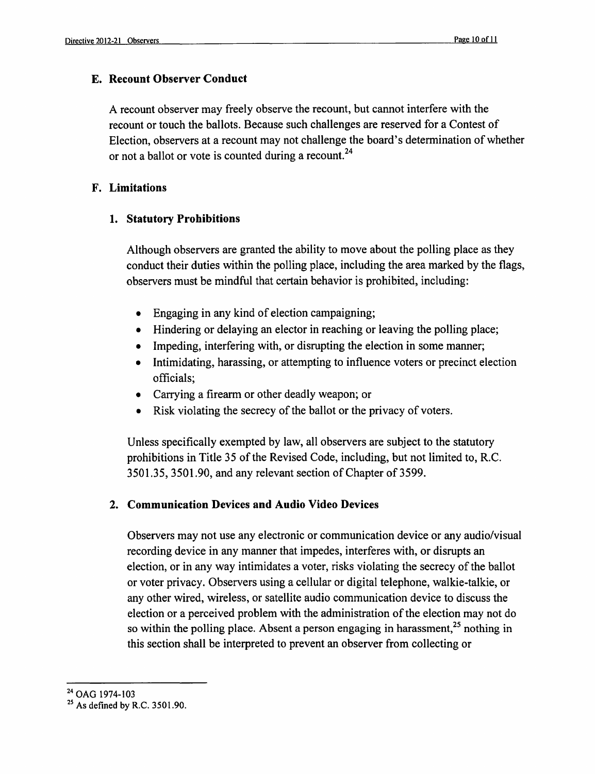### E. Recount Observer Conduct

A recount observer may freely observe the recount, but cannot interfere with the recount or touch the ballots. Because such challenges are reserved for a Contest of Election, observers at a recount may not challenge the board's determination of whether or not a ballot or vote is counted during a recount.<sup>24</sup>

### F. Limitations

## 1. Statutory Prohibitions

Although observers are granted the ability to move about the polling place as they conduct their duties within the polling place, including the area marked by the flags, observers must be mindful that certain behavior is prohibited, including:

- Engaging in any kind of election campaigning;
- Hindering or delaying an elector in reaching or leaving the polling place;
- Impeding, interfering with, or disrupting the election in some manner;
- Intimidating, harassing, or attempting to influence voters or precinct election officials;
- Carrying a firearm or other deadly weapon; or
- Risk violating the secrecy of the ballot or the privacy of voters.

Unless specifically exempted by law, all observers are subject to the statutory prohibitions in Title 35 of the Revised Code, including, but not limited to, R.C. 3501.35, 3501.90, and any relevant section of Chapter of 3599.

## 2. Communication Devices and Audio Video Devices

Observers may not use any electronic or communication device or any audio/visual recording device in any manner that impedes, interferes with, or disrupts an election, or in any way intimidates a voter, risks violating the secrecy of the ballot or voter privacy. Observers using a cellular or digital telephone, walkie-talkie, or any other wired, wireless, or satellite audio communication device to discuss the election or a perceived problem with the administration of the election may not do so within the polling place. Absent a person engaging in harassment,  $2^5$  nothing in this section shall be interpreted to prevent an observer from collecting or

<sup>&</sup>lt;sup>24</sup> OAG 1974-103

 $25$  As defined by R.C. 3501.90.